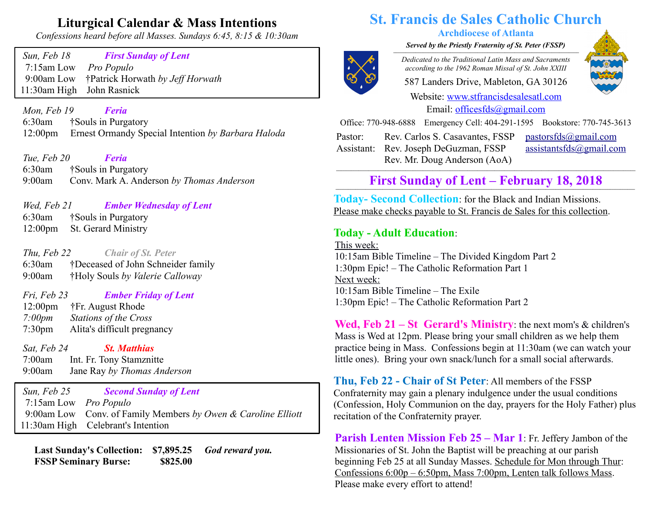## **Liturgical Calendar & Mass Intentions**

*Confessions heard before all Masses. Sundays 6:45, 8:15 & 10:30am*

 *Sun, Feb 18 First Sunday of Lent* 7:15am Low *Pro Populo* 9:00am Low †Patrick Horwath *by Jeff Horwath*  11:30am High John Rasnick

 *Mon, Feb 19 Feria* 6:30am†Souls in Purgatory 12:00pm Ernest Ormandy Special Intention *by Barbara Haloda*

 *Tue, Feb 20 Feria* 6:30am †Souls in Purgatory 9:00am Conv. Mark A. Anderson *by Thomas Anderson*

*Wed, Feb 21 Ember Wednesday of Lent*

 6:30am †Souls in Purgatory 12:00pm St. Gerard Ministry

 *Thu, Feb 22 Chair of St. Peter* 6:30am †Deceased of John Schneider family 9:00am †Holy Souls *by Valerie Calloway*

 *Fri, Feb 23 Ember Friday of Lent*

12:00pm †Fr. August Rhode  *7:00pm Stations of the Cross* 7:30pm Alita's difficult pregnancy

 *Sat, Feb 24 St. Matthias* 

 7:00am Int. Fr. Tony Stamznitte 9:00am Jane Ray *by Thomas Anderson*

 *Sun, Feb 25 Second Sunday of Lent* 7:15am Low *Pro Populo* 9:00am Low Conv. of Family Members *by Owen & Caroline Elliott* 11:30am High Celebrant's Intention

 **Last Sunday's Collection: \$7,895.25** *God reward you.* **FSSP Seminary Burse:** \$825.00

# **St. Francis de Sales Catholic Church**

#### **Archdiocese of Atlanta**

*Served by the Priestly Fraternity of St. Peter (FSSP)*  $\overline{a}$   $\overline{a}$   $\overline{a}$   $\overline{a}$   $\overline{a}$   $\overline{a}$   $\overline{a}$   $\overline{a}$   $\overline{a}$   $\overline{a}$   $\overline{a}$   $\overline{a}$   $\overline{a}$   $\overline{a}$   $\overline{a}$   $\overline{a}$   $\overline{a}$   $\overline{a}$   $\overline{a}$   $\overline{a}$   $\overline{a}$   $\overline{a}$   $\overline{a}$   $\overline{a}$   $\overline{$ 



*Dedicated to the Traditional Latin Mass and Sacraments according to the 1962 Roman Missal of St. John XXIII*

587 Landers Drive, Mableton, GA 30126

Website: [www.stfrancisdesalesatl.com](http://www.stfrancisdesalesatl.com/) Email: [officesfds@gmail.com](mailto:officesfds@gmail.com)

Office: 770-948-6888 Emergency Cell: 404-291-1595 Bookstore: 770-745-3613

Pastor: Assistant: Rev. Joseph DeGuzman, FSSP Rev. Carlos S. Casavantes, FSSP Rev. Mr. Doug Anderson (AoA)

 $pastorsfds@gmail.com$ [assistantsfds@gmail.com](mailto:assistantsfds@gmail.com)

## First Sunday of Lent – February 18, 2018

**Today- Second Collection**: for the Black and Indian Missions. Please make checks payable to St. Francis de Sales for this collection.

## **Today - Adult Education**:

This week: 10:15am Bible Timeline – The Divided Kingdom Part 2 1:30pm Epic! – The Catholic Reformation Part 1 Next week: 10:15am Bible Timeline – The Exile 1:30pm Epic! – The Catholic Reformation Part 2

**Wed, Feb 21 – St Gerard's Ministry**: the next mom's & children's Mass is Wed at 12pm. Please bring your small children as we help them practice being in Mass. Confessions begin at 11:30am (we can watch your little ones). Bring your own snack/lunch for a small social afterwards.

**Thu, Feb 22 - Chair of St Peter**: All members of the FSSP Confraternity may gain a plenary indulgence under the usual conditions (Confession, Holy Communion on the day, prayers for the Holy Father) plus recitation of the Confraternity prayer.

**Parish Lenten Mission Feb 25 – Mar 1**: Fr. Jeffery Jambon of the Missionaries of St. John the Baptist will be preaching at our parish beginning Feb 25 at all Sunday Masses. Schedule for Mon through Thur: Confessions 6:00p – 6:50pm, Mass 7:00pm, Lenten talk follows Mass. Please make every effort to attend!